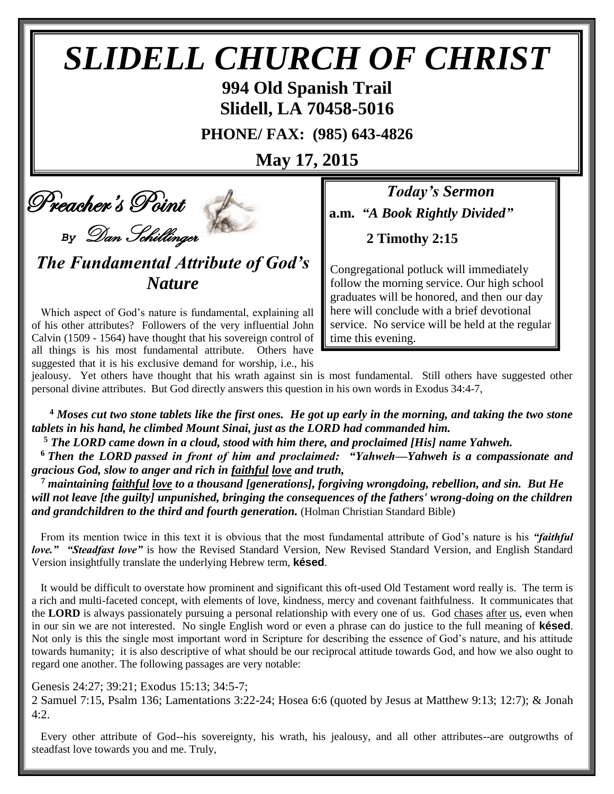# *SLIDELL CHURCH OF CHRIST*

**994 Old Spanish Trail Slidell, LA 70458-5016**

**PHONE/ FAX: (985) 643-4826**

**May 17, 2015**

Preacher's Point

*By* Dan Schillinger

*The Fundamental Attribute of God's Nature*

Which aspect of God's nature is fundamental, explaining all of his other attributes? Followers of the very influential John Calvin (1509 - 1564) have thought that his sovereign control of all things is his most fundamental attribute. Others have suggested that it is his exclusive demand for worship, i.e., his

*Today's Sermon* **a.m.** *"A Book Rightly Divided"*

**2 Timothy 2:15**

Congregational potluck will immediately follow the morning service. Our high school graduates will be honored, and then our day here will conclude with a brief devotional service. No service will be held at the regular time this evening.

jealousy. Yet others have thought that his wrath against sin is most fundamental. Still others have suggested other personal divine attributes. But God directly answers this question in his own words in Exodus 34:4-7,

**<sup>4</sup>** *Moses cut two stone tablets like the first ones. He got up early in the morning, and taking the two stone tablets in his hand, he climbed Mount Sinai, just as the LORD had commanded him.*

**<sup>5</sup>** *The LORD came down in a cloud, stood with him there, and proclaimed [His] name Yahweh.*

**<sup>6</sup>** *Then the LORD passed in front of him and proclaimed: "Yahweh—Yahweh is a compassionate and gracious God, slow to anger and rich in faithful love and truth,*

**<sup>7</sup>** *maintaining faithful love to a thousand [generations], forgiving wrongdoing, rebellion, and sin. But He will not leave [the guilty] unpunished, bringing the consequences of the fathers' wrong-doing on the children and grandchildren to the third and fourth generation.* (Holman Christian Standard Bible)

From its mention twice in this text it is obvious that the most fundamental attribute of God's nature is his *"faithful love." "Steadfast love"* is how the Revised Standard Version, New Revised Standard Version, and English Standard Version insightfully translate the underlying Hebrew term, **késed**.

It would be difficult to overstate how prominent and significant this oft-used Old Testament word really is. The term is a rich and multi-faceted concept, with elements of love, kindness, mercy and covenant faithfulness. It communicates that the **LORD** is always passionately pursuing a personal relationship with every one of us. God chases after us, even when in our sin we are not interested. No single English word or even a phrase can do justice to the full meaning of **késed**. Not only is this the single most important word in Scripture for describing the essence of God's nature, and his attitude towards humanity; it is also descriptive of what should be our reciprocal attitude towards God, and how we also ought to regard one another. The following passages are very notable:

Genesis 24:27; 39:21; Exodus 15:13; 34:5-7;

2 Samuel 7:15, Psalm 136; Lamentations 3:22-24; Hosea 6:6 (quoted by Jesus at Matthew 9:13; 12:7); & Jonah  $4:2$ 

Every other attribute of God--his sovereignty, his wrath, his jealousy, and all other attributes--are outgrowths of steadfast love towards you and me. Truly,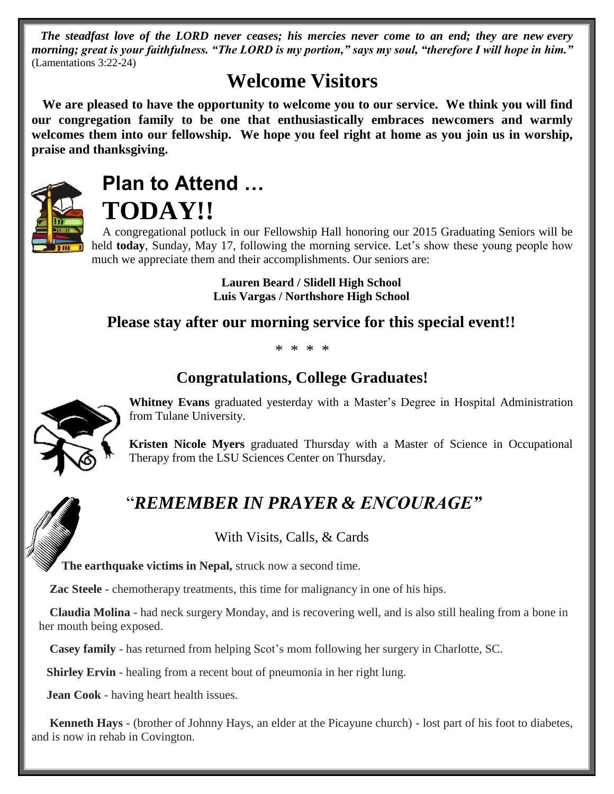*The steadfast love of the LORD never ceases; his mercies never come to an end; they are new every morning; great is your faithfulness. "The LORD is my portion," says my soul, "therefore I will hope in him."* (Lamentations 3:22-24)

## **Welcome Visitors**

**We are pleased to have the opportunity to welcome you to our service. We think you will find our congregation family to be one that enthusiastically embraces newcomers and warmly welcomes them into our fellowship. We hope you feel right at home as you join us in worship, praise and thanksgiving.**



## **Plan to Attend … TODAY!!**

A congregational potluck in our Fellowship Hall honoring our 2015 Graduating Seniors will be held **today**, Sunday, May 17, following the morning service. Let's show these young people how much we appreciate them and their accomplishments. Our seniors are:

> **Lauren Beard / Slidell High School Luis Vargas / Northshore High School**

#### **Please stay after our morning service for this special event!!**

\* \* \* \*

### **Congratulations, College Graduates!**



**Whitney Evans** graduated yesterday with a Master's Degree in Hospital Administration from Tulane University.

**Kristen Nicole Myers** graduated Thursday with a Master of Science in Occupational Therapy from the LSU Sciences Center on Thursday.

## "*REMEMBER IN PRAYER & ENCOURAGE"*

With Visits, Calls, & Cards

 **The earthquake victims in Nepal,** struck now a second time.

 **Zac Steele** - chemotherapy treatments, this time for malignancy in one of his hips.

**Claudia Molina** - had neck surgery Monday, and is recovering well, and is also still healing from a bone in her mouth being exposed.

**Casey family** - has returned from helping Scot's mom following her surgery in Charlotte, SC.

**Shirley Ervin** - healing from a recent bout of pneumonia in her right lung.

 **Jean Cook** - having heart health issues.

 **Kenneth Hays** - (brother of Johnny Hays, an elder at the Picayune church) - lost part of his foot to diabetes, and is now in rehab in Covington.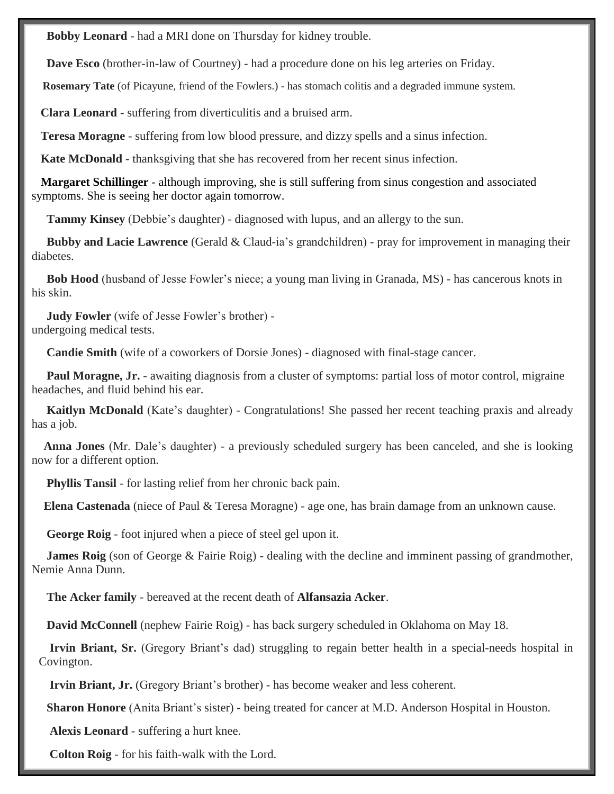**Bobby Leonard** - had a MRI done on Thursday for kidney trouble.

 **Dave Esco** (brother-in-law of Courtney) - had a procedure done on his leg arteries on Friday.

 **Rosemary Tate** (of Picayune, friend of the Fowlers.) - has stomach colitis and a degraded immune system.

 **Clara Leonard** - suffering from diverticulitis and a bruised arm.

 **Teresa Moragne** - suffering from low blood pressure, and dizzy spells and a sinus infection.

**Kate McDonald** - thanksgiving that she has recovered from her recent sinus infection.

 **Margaret Schillinger** - although improving, she is still suffering from sinus congestion and associated symptoms. She is seeing her doctor again tomorrow.

**Tammy Kinsey** (Debbie's daughter) - diagnosed with lupus, and an allergy to the sun.

 **Bubby and Lacie Lawrence** (Gerald & Claud-ia's grandchildren) - pray for improvement in managing their diabetes.

 **Bob Hood** (husband of Jesse Fowler's niece; a young man living in Granada, MS) - has cancerous knots in his skin.

 **Judy Fowler** (wife of Jesse Fowler's brother) undergoing medical tests.

 **Candie Smith** (wife of a coworkers of Dorsie Jones) - diagnosed with final-stage cancer.

**Paul Moragne, Jr.** - awaiting diagnosis from a cluster of symptoms: partial loss of motor control, migraine headaches, and fluid behind his ear.

 **Kaitlyn McDonald** (Kate's daughter) - Congratulations! She passed her recent teaching praxis and already has a job.

 **Anna Jones** (Mr. Dale's daughter) - a previously scheduled surgery has been canceled, and she is looking now for a different option.

**Phyllis Tansil** - for lasting relief from her chronic back pain.

 **Elena Castenada** (niece of Paul & Teresa Moragne) - age one, has brain damage from an unknown cause.

 **George Roig** - foot injured when a piece of steel gel upon it.

**James Roig** (son of George & Fairie Roig) - dealing with the decline and imminent passing of grandmother, Nemie Anna Dunn.

**The Acker family** - bereaved at the recent death of **Alfansazia Acker**.

 **David McConnell** (nephew Fairie Roig) - has back surgery scheduled in Oklahoma on May 18.

**Irvin Briant, Sr.** (Gregory Briant's dad) struggling to regain better health in a special-needs hospital in Covington.

**Irvin Briant, Jr.** (Gregory Briant's brother) - has become weaker and less coherent.

**Sharon Honore** (Anita Briant's sister) - being treated for cancer at M.D. Anderson Hospital in Houston.

**Alexis Leonard** - suffering a hurt knee.

**Colton Roig** - for his faith-walk with the Lord.